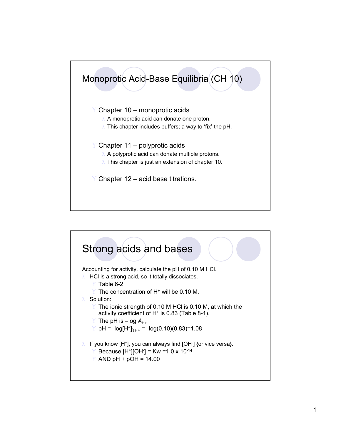

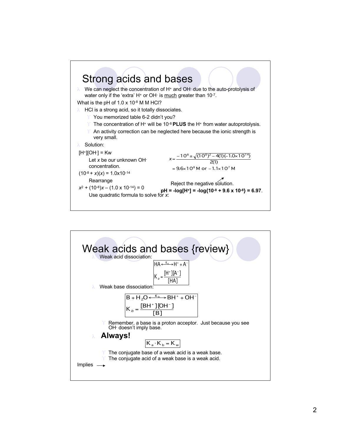

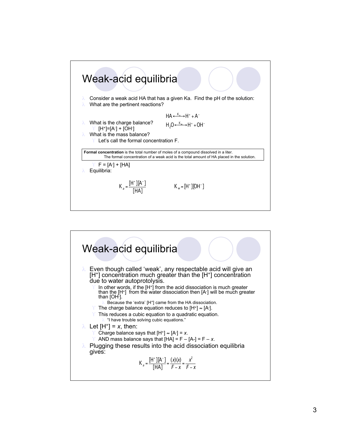

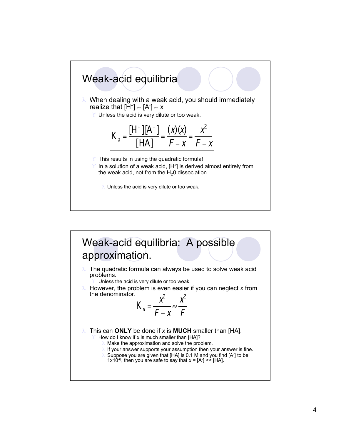

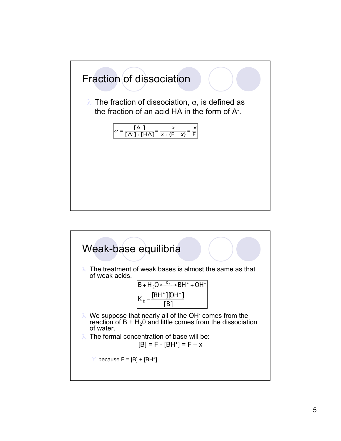

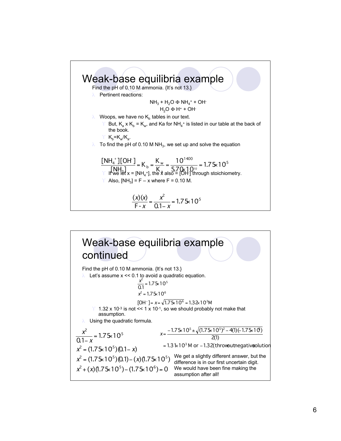

## Weak-base equilibria example continued Find the pH of 0.10 M ammonia. {It's not 13.} λ Let's assume x << 0.1 to avoid a quadratic equation. 1.32 x 10<sup>-3</sup> is not  $<< 1 \times 10^{-1}$ , so we should probably not make that assumption. λ Using the quadratic formula.  $[OH^-] = x = \sqrt{1.75 \times 10^6} = 1.32 \times 10^3 M$  $x^2 = 1.75 \times 10^6$  $\frac{x^2}{0.1}$  = 1.75 × 10<sup>5</sup>  $x^2 + (x)(1.75 \times 10^5) - (1.75 \times 10^6) = 0$  We would have been fine making the  $x^2 = (1.75 \times 10^5)(0.1) - (x)(1.75 \times 10^5)$  $x^2 = (1.75 \times 10^5)(0.1 - x)$  $\frac{x^2}{0.1-x}$  = 1.75 × 10<sup>5</sup>  $= 1.75$ " " x x = 1.3  $\text{ k}$  1 0<sup>3</sup> M or – 1.32(throwout negatives olution 2(1)  $=\frac{-1.75 \times 10^5 \pm \sqrt{(1.75 \times 10^5)^2 - 4(1)(-1.75 \times 10^5)}}{2(1)}$ x We get a slightly different answer, but the difference is in our first uncertain digit. assumption after all!